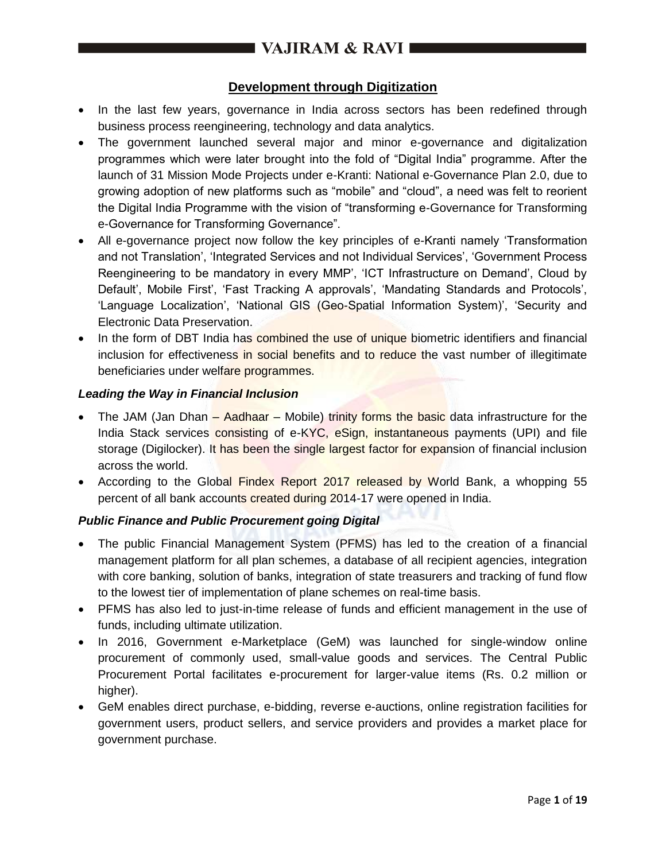## **Development through Digitization**

- In the last few years, governance in India across sectors has been redefined through business process reengineering, technology and data analytics.
- The government launched several major and minor e-governance and digitalization programmes which were later brought into the fold of "Digital India" programme. After the launch of 31 Mission Mode Projects under e-Kranti: National e-Governance Plan 2.0, due to growing adoption of new platforms such as "mobile" and "cloud", a need was felt to reorient the Digital India Programme with the vision of "transforming e-Governance for Transforming e-Governance for Transforming Governance".
- All e-governance project now follow the key principles of e-Kranti namely 'Transformation and not Translation', 'Integrated Services and not Individual Services', 'Government Process Reengineering to be mandatory in every MMP', 'ICT Infrastructure on Demand', Cloud by Default', Mobile First', 'Fast Tracking A approvals', 'Mandating Standards and Protocols', 'Language Localization', 'National GIS (Geo-Spatial Information System)', 'Security and Electronic Data Preservation.
- In the form of DBT India has combined the use of unique biometric identifiers and financial inclusion for effectiveness in social benefits and to reduce the vast number of illegitimate beneficiaries under welfare programmes.

#### *Leading the Way in Financial Inclusion*

- The JAM (Jan Dhan  $-$  Aadhaar Mobile) trinity forms the basic data infrastructure for the India Stack services consisting of e-KYC, eSign, instantaneous payments (UPI) and file storage (Digilocker). It has been the single largest factor for expansion of financial inclusion across the world.
- According to the Global Findex Report 2017 released by World Bank, a whopping 55 percent of all bank accounts created during 2014-17 were opened in India.

### *Public Finance and Public Procurement going Digital*

- The public Financial Management System (PFMS) has led to the creation of a financial management platform for all plan schemes, a database of all recipient agencies, integration with core banking, solution of banks, integration of state treasurers and tracking of fund flow to the lowest tier of implementation of plane schemes on real-time basis.
- PFMS has also led to just-in-time release of funds and efficient management in the use of funds, including ultimate utilization.
- In 2016, Government e-Marketplace (GeM) was launched for single-window online procurement of commonly used, small-value goods and services. The Central Public Procurement Portal facilitates e-procurement for larger-value items (Rs. 0.2 million or higher).
- GeM enables direct purchase, e-bidding, reverse e-auctions, online registration facilities for government users, product sellers, and service providers and provides a market place for government purchase.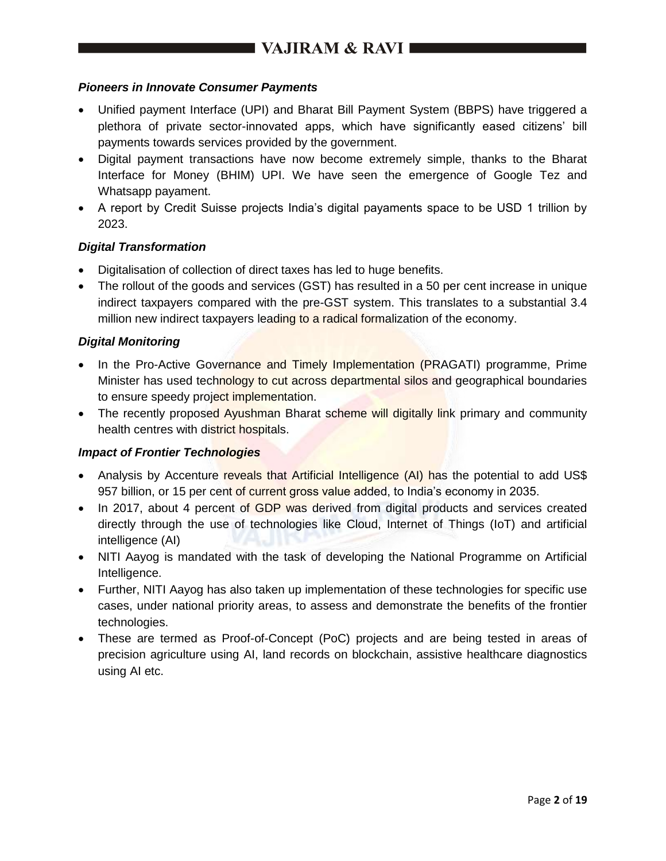### *Pioneers in Innovate Consumer Payments*

- Unified payment Interface (UPI) and Bharat Bill Payment System (BBPS) have triggered a plethora of private sector-innovated apps, which have significantly eased citizens' bill payments towards services provided by the government.
- Digital payment transactions have now become extremely simple, thanks to the Bharat Interface for Money (BHIM) UPI. We have seen the emergence of Google Tez and Whatsapp payament.
- A report by Credit Suisse projects India's digital payaments space to be USD 1 trillion by 2023.

### *Digital Transformation*

- Digitalisation of collection of direct taxes has led to huge benefits.
- The rollout of the goods and services (GST) has resulted in a 50 per cent increase in unique indirect taxpayers compared with the pre-GST system. This translates to a substantial 3.4 million new indirect taxpayers leading to a radical formalization of the economy.

### *Digital Monitoring*

- In the Pro-Active Governance and Timely Implementation (PRAGATI) programme, Prime Minister has used technology to cut across departmental silos and geographical boundaries to ensure speedy project implementation.
- The recently proposed Ayushman Bharat scheme will digitally link primary and community health centres with district hospitals.

### *Impact of Frontier Technologies*

- Analysis by Accenture reveals that Artificial Intelligence (AI) has the potential to add US\$ 957 billion, or 15 per cent of current gross value added, to India's economy in 2035.
- In 2017, about 4 percent of GDP was derived from digital products and services created directly through the use of technologies like Cloud, Internet of Things (IoT) and artificial intelligence (AI)
- NITI Aayog is mandated with the task of developing the National Programme on Artificial Intelligence.
- Further, NITI Aayog has also taken up implementation of these technologies for specific use cases, under national priority areas, to assess and demonstrate the benefits of the frontier technologies.
- These are termed as Proof-of-Concept (PoC) projects and are being tested in areas of precision agriculture using AI, land records on blockchain, assistive healthcare diagnostics using AI etc.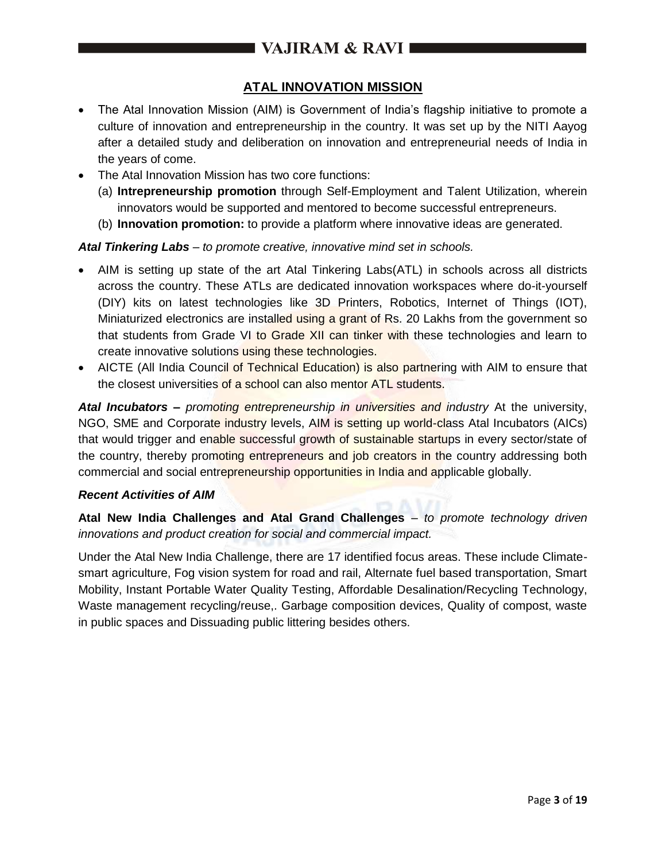# **ATAL INNOVATION MISSION**

- The Atal Innovation Mission (AIM) is Government of India's flagship initiative to promote a culture of innovation and entrepreneurship in the country. It was set up by the NITI Aayog after a detailed study and deliberation on innovation and entrepreneurial needs of India in the years of come.
- The Atal Innovation Mission has two core functions:
	- (a) **Intrepreneurship promotion** through Self-Employment and Talent Utilization, wherein innovators would be supported and mentored to become successful entrepreneurs.
	- (b) **Innovation promotion:** to provide a platform where innovative ideas are generated.

#### *Atal Tinkering Labs – to promote creative, innovative mind set in schools.*

- AIM is setting up state of the art Atal Tinkering Labs(ATL) in schools across all districts across the country. These ATLs are dedicated innovation workspaces where do-it-yourself (DIY) kits on latest technologies like 3D Printers, Robotics, Internet of Things (IOT), Miniaturized electronics are installed using a grant of Rs. 20 Lakhs from the government so that students from Grade VI to Grade XII can tinker with these technologies and learn to create innovative solutions using these technologies.
- AICTE (All India Council of Technical Education) is also partnering with AIM to ensure that the closest universities of a school can also mentor ATL students.

*Atal Incubators – promoting entrepreneurship in universities and industry* At the university, NGO, SME and Corporate industry levels, AIM is setting up world-class Atal Incubators (AICs) that would trigger and enable successful growth of sustainable startups in every sector/state of the country, thereby promoting entrepreneurs and job creators in the country addressing both commercial and social entrepreneurship opportunities in India and applicable globally.

#### *Recent Activities of AIM*

**Atal New India Challenges and Atal Grand Challenges** – *to promote technology driven innovations and product creation for social and commercial impact.*

Under the Atal New India Challenge, there are 17 identified focus areas. These include Climatesmart agriculture, Fog vision system for road and rail, Alternate fuel based transportation, Smart Mobility, Instant Portable Water Quality Testing, Affordable Desalination/Recycling Technology, Waste management recycling/reuse,. Garbage composition devices, Quality of compost, waste in public spaces and Dissuading public littering besides others.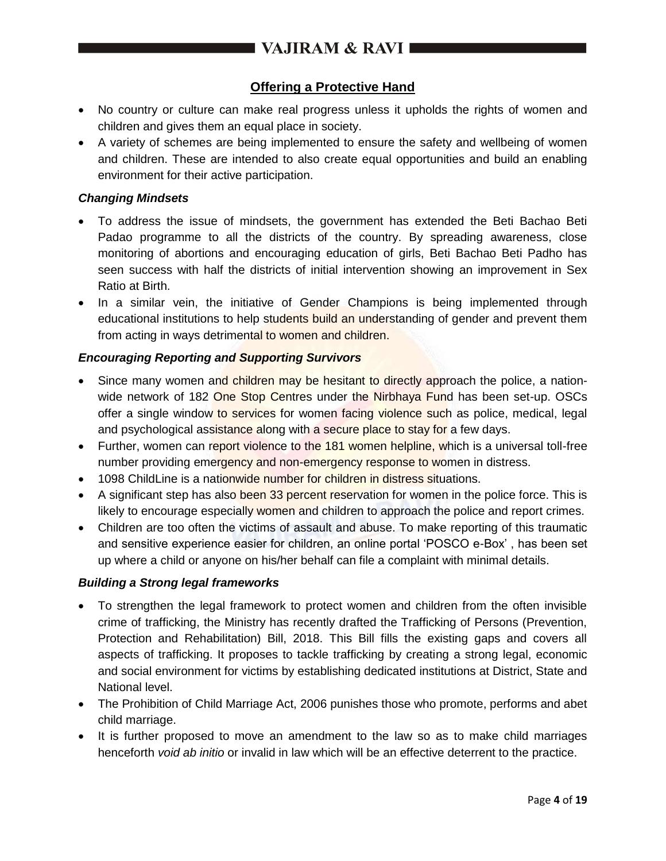# ■ VAJIRAM & RAVI

## **Offering a Protective Hand**

- No country or culture can make real progress unless it upholds the rights of women and children and gives them an equal place in society.
- A variety of schemes are being implemented to ensure the safety and wellbeing of women and children. These are intended to also create equal opportunities and build an enabling environment for their active participation.

### *Changing Mindsets*

- To address the issue of mindsets, the government has extended the Beti Bachao Beti Padao programme to all the districts of the country. By spreading awareness, close monitoring of abortions and encouraging education of girls, Beti Bachao Beti Padho has seen success with half the districts of initial intervention showing an improvement in Sex Ratio at Birth.
- In a similar vein, the initiative of Gender Champions is being implemented through educational institutions to help students build an understanding of gender and prevent them from acting in ways detrimental to women and children.

### *Encouraging Reporting and Supporting Survivors*

- Since many women and children may be hesitant to directly approach the police, a nationwide network of 182 One Stop Centres under the Nirbhaya Fund has been set-up. OSCs offer a single window to services for women facing violence such as police, medical, legal and psychological assistance along with a secure place to stay for a few days.
- Further, women can report violence to the 181 women helpline, which is a universal toll-free number providing emergency and non-emergency response to women in distress.
- 1098 ChildLine is a nationwide number for children in distress situations.
- A significant step has also been 33 percent reservation for women in the police force. This is likely to encourage especially women and children to approach the police and report crimes.
- Children are too often the victims of assault and abuse. To make reporting of this traumatic and sensitive experience easier for children, an online portal 'POSCO e-Box' , has been set up where a child or anyone on his/her behalf can file a complaint with minimal details.

#### *Building a Strong legal frameworks*

- To strengthen the legal framework to protect women and children from the often invisible crime of trafficking, the Ministry has recently drafted the Trafficking of Persons (Prevention, Protection and Rehabilitation) Bill, 2018. This Bill fills the existing gaps and covers all aspects of trafficking. It proposes to tackle trafficking by creating a strong legal, economic and social environment for victims by establishing dedicated institutions at District, State and National level.
- The Prohibition of Child Marriage Act, 2006 punishes those who promote, performs and abet child marriage.
- It is further proposed to move an amendment to the law so as to make child marriages henceforth *void ab initio* or invalid in law which will be an effective deterrent to the practice.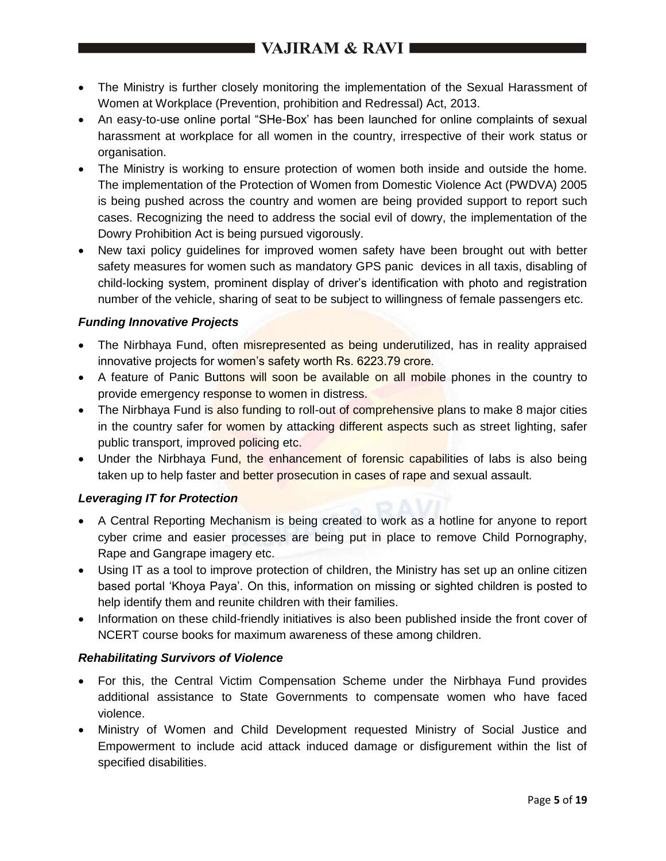# VAJIRAM & RAVI

- The Ministry is further closely monitoring the implementation of the Sexual Harassment of Women at Workplace (Prevention, prohibition and Redressal) Act, 2013.
- An easy-to-use online portal "SHe-Box' has been launched for online complaints of sexual harassment at workplace for all women in the country, irrespective of their work status or organisation.
- The Ministry is working to ensure protection of women both inside and outside the home. The implementation of the Protection of Women from Domestic Violence Act (PWDVA) 2005 is being pushed across the country and women are being provided support to report such cases. Recognizing the need to address the social evil of dowry, the implementation of the Dowry Prohibition Act is being pursued vigorously.
- New taxi policy guidelines for improved women safety have been brought out with better safety measures for women such as mandatory GPS panic devices in all taxis, disabling of child-locking system, prominent display of driver's identification with photo and registration number of the vehicle, sharing of seat to be subject to willingness of female passengers etc.

### *Funding Innovative Projects*

- The Nirbhaya Fund, often misrepresented as being underutilized, has in reality appraised innovative projects for women's safety worth Rs. 6223.79 crore.
- A feature of Panic Buttons will soon be available on all mobile phones in the country to provide emergency response to women in distress.
- The Nirbhaya Fund is also funding to roll-out of comprehensive plans to make 8 major cities in the country safer for women by attacking different aspects such as street lighting, safer public transport, improved policing etc.
- Under the Nirbhaya Fund, the enhancement of forensic capabilities of labs is also being taken up to help faster and better prosecution in cases of rape and sexual assault.

## *Leveraging IT for Protection*

- A Central Reporting Mechanism is being created to work as a hotline for anyone to report cyber crime and easier processes are being put in place to remove Child Pornography, Rape and Gangrape imagery etc.
- Using IT as a tool to improve protection of children, the Ministry has set up an online citizen based portal 'Khoya Paya'. On this, information on missing or sighted children is posted to help identify them and reunite children with their families.
- Information on these child-friendly initiatives is also been published inside the front cover of NCERT course books for maximum awareness of these among children.

### *Rehabilitating Survivors of Violence*

- For this, the Central Victim Compensation Scheme under the Nirbhaya Fund provides additional assistance to State Governments to compensate women who have faced violence.
- Ministry of Women and Child Development requested Ministry of Social Justice and Empowerment to include acid attack induced damage or disfigurement within the list of specified disabilities.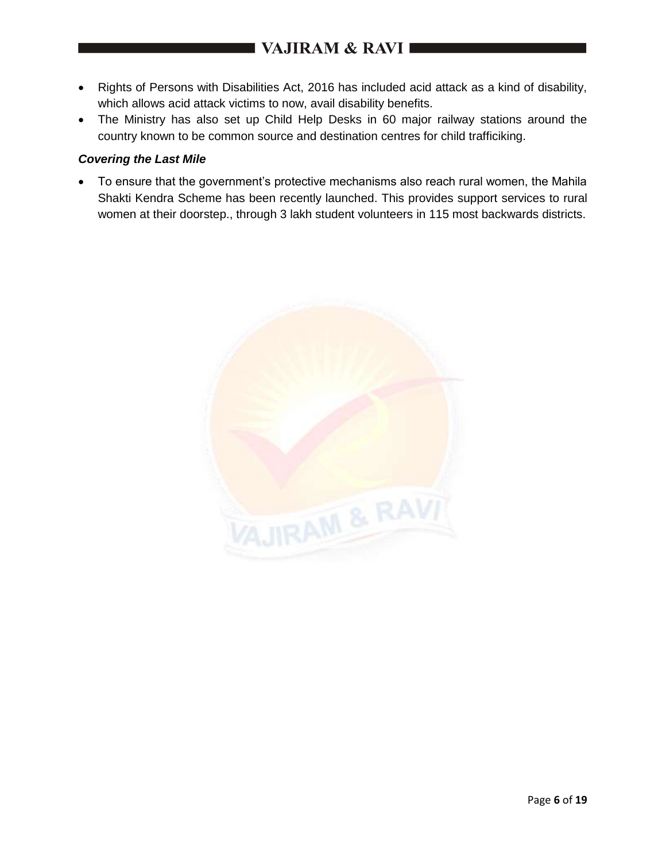- Rights of Persons with Disabilities Act, 2016 has included acid attack as a kind of disability, which allows acid attack victims to now, avail disability benefits.
- The Ministry has also set up Child Help Desks in 60 major railway stations around the country known to be common source and destination centres for child trafficiking.

### *Covering the Last Mile*

 To ensure that the government's protective mechanisms also reach rural women, the Mahila Shakti Kendra Scheme has been recently launched. This provides support services to rural women at their doorstep., through 3 lakh student volunteers in 115 most backwards districts.

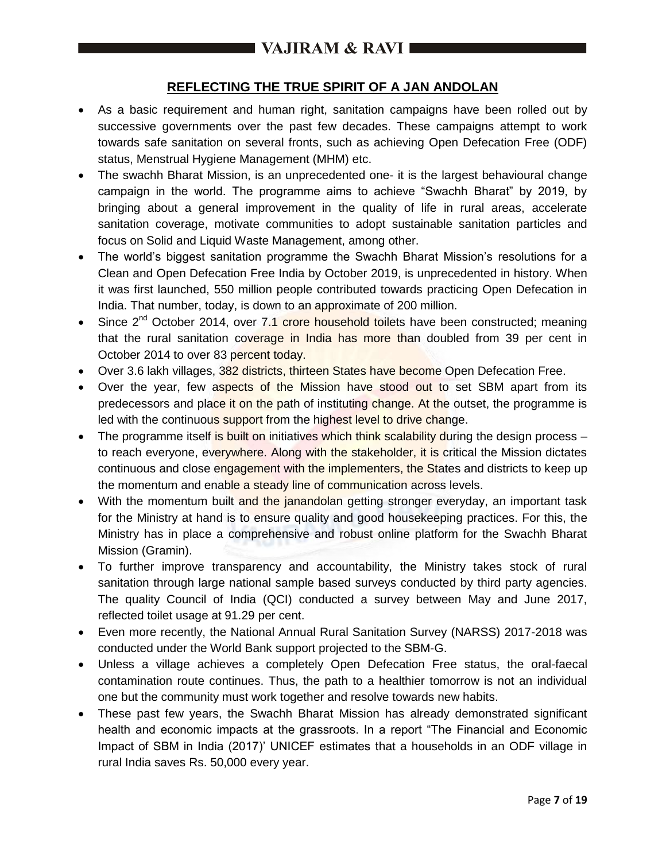# **REFLECTING THE TRUE SPIRIT OF A JAN ANDOLAN**

- As a basic requirement and human right, sanitation campaigns have been rolled out by successive governments over the past few decades. These campaigns attempt to work towards safe sanitation on several fronts, such as achieving Open Defecation Free (ODF) status, Menstrual Hygiene Management (MHM) etc.
- The swachh Bharat Mission, is an unprecedented one- it is the largest behavioural change campaign in the world. The programme aims to achieve "Swachh Bharat" by 2019, by bringing about a general improvement in the quality of life in rural areas, accelerate sanitation coverage, motivate communities to adopt sustainable sanitation particles and focus on Solid and Liquid Waste Management, among other.
- The world's biggest sanitation programme the Swachh Bharat Mission's resolutions for a Clean and Open Defecation Free India by October 2019, is unprecedented in history. When it was first launched, 550 million people contributed towards practicing Open Defecation in India. That number, today, is down to an approximate of 200 million.
- Since 2<sup>nd</sup> October 2014, over 7.1 crore household toilets have been constructed; meaning that the rural sanitation coverage in India has more than doubled from 39 per cent in October 2014 to over 83 percent today.
- Over 3.6 lakh villages, 382 districts, thirteen States have become Open Defecation Free.
- Over the year, few aspects of the Mission have stood out to set SBM apart from its predecessors and place it on the path of instituting change. At the outset, the programme is led with the continuous support from the highest level to drive change.
- $\bullet$  The programme itself is built on initiatives which think scalability during the design process to reach everyone, everywhere. Along with the stakeholder, it is critical the Mission dictates continuous and close engagement with the implementers, the States and districts to keep up the momentum and enable a steady line of communication across levels.
- With the momentum built and the janandolan getting stronger everyday, an important task for the Ministry at hand is to ensure quality and good housekeeping practices. For this, the Ministry has in place a comprehensive and robust online platform for the Swachh Bharat Mission (Gramin).
- To further improve transparency and accountability, the Ministry takes stock of rural sanitation through large national sample based surveys conducted by third party agencies. The quality Council of India (QCI) conducted a survey between May and June 2017, reflected toilet usage at 91.29 per cent.
- Even more recently, the National Annual Rural Sanitation Survey (NARSS) 2017-2018 was conducted under the World Bank support projected to the SBM-G.
- Unless a village achieves a completely Open Defecation Free status, the oral-faecal contamination route continues. Thus, the path to a healthier tomorrow is not an individual one but the community must work together and resolve towards new habits.
- These past few years, the Swachh Bharat Mission has already demonstrated significant health and economic impacts at the grassroots. In a report "The Financial and Economic Impact of SBM in India (2017)' UNICEF estimates that a households in an ODF village in rural India saves Rs. 50,000 every year.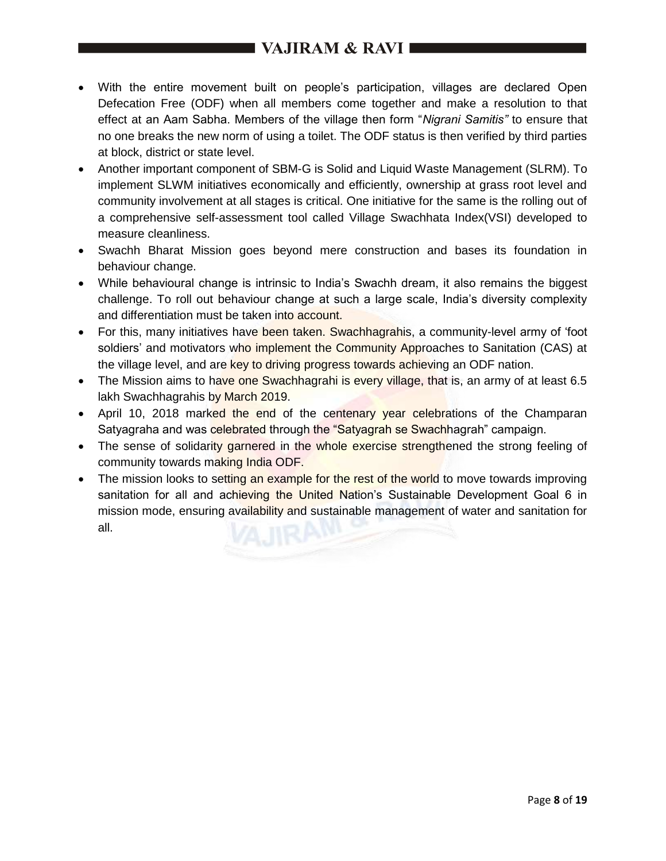- With the entire movement built on people's participation, villages are declared Open Defecation Free (ODF) when all members come together and make a resolution to that effect at an Aam Sabha. Members of the village then form "*Nigrani Samitis"* to ensure that no one breaks the new norm of using a toilet. The ODF status is then verified by third parties at block, district or state level.
- Another important component of SBM-G is Solid and Liquid Waste Management (SLRM). To implement SLWM initiatives economically and efficiently, ownership at grass root level and community involvement at all stages is critical. One initiative for the same is the rolling out of a comprehensive self-assessment tool called Village Swachhata Index(VSI) developed to measure cleanliness.
- Swachh Bharat Mission goes beyond mere construction and bases its foundation in behaviour change.
- While behavioural change is intrinsic to India's Swachh dream, it also remains the biggest challenge. To roll out behaviour change at such a large scale, India's diversity complexity and differentiation must be taken into account.
- For this, many initiatives have been taken. Swachhagrahis, a community-level army of 'foot soldiers' and motivators who implement the Community Approaches to Sanitation (CAS) at the village level, and are key to driving progress towards achieving an ODF nation.
- The Mission aims to have one Swachhagrahi is every village, that is, an army of at least 6.5 lakh Swachhagrahis by March 2019.
- April 10, 2018 marked the end of the centenary year celebrations of the Champaran Satyagraha and was celebrated through the "Satyagrah se Swachhagrah" campaign.
- The sense of solidarity garnered in the whole exercise strengthened the strong feeling of community towards making India ODF.
- The mission looks to setting an example for the rest of the world to move towards improving sanitation for all and achieving the United Nation's Sustainable Development Goal 6 in mission mode, ensuring availability and sustainable management of water and sanitation for all.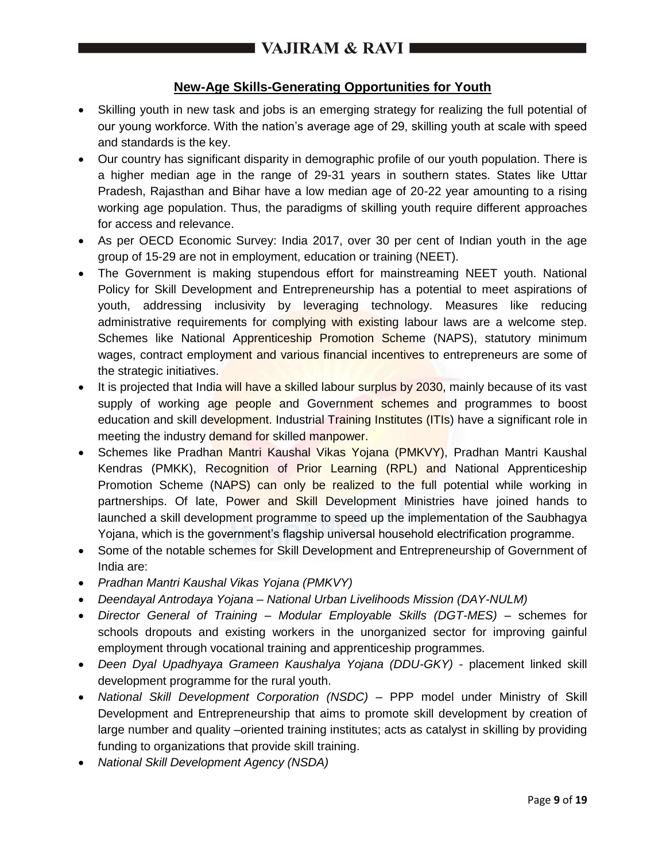## **New-Age Skills-Generating Opportunities for Youth**

- Skilling youth in new task and jobs is an emerging strategy for realizing the full potential of our young workforce. With the nation's average age of 29, skilling youth at scale with speed and standards is the key.
- Our country has significant disparity in demographic profile of our youth population. There is a higher median age in the range of 29-31 years in southern states. States like Uttar Pradesh, Rajasthan and Bihar have a low median age of 20-22 year amounting to a rising working age population. Thus, the paradigms of skilling youth require different approaches for access and relevance.
- As per OECD Economic Survey: India 2017, over 30 per cent of Indian youth in the age group of 15-29 are not in employment, education or training (NEET).
- The Government is making stupendous effort for mainstreaming NEET youth. National Policy for Skill Development and Entrepreneurship has a potential to meet aspirations of youth, addressing inclusivity by leveraging technology. Measures like reducing administrative requirements for complying with existing labour laws are a welcome step. Schemes like National Apprenticeship Promotion Scheme (NAPS), statutory minimum wages, contract employment and various financial incentives to entrepreneurs are some of the strategic initiatives.
- It is projected that India will have a skilled labour surplus by 2030, mainly because of its vast supply of working age people and Government schemes and programmes to boost education and skill development. Industrial Training Institutes (ITIs) have a significant role in meeting the industry demand for skilled manpower.
- Schemes like Pradhan Mantri Kaushal Vikas Yojana (PMKVY), Pradhan Mantri Kaushal Kendras (PMKK), Recognition of Prior Learning (RPL) and National Apprenticeship Promotion Scheme (NAPS) can only be realized to the full potential while working in partnerships. Of late, Power and Skill Development Ministries have joined hands to launched a skill development programme to speed up the implementation of the Saubhagya Yojana, which is the government's flagship universal household electrification programme.
- Some of the notable schemes for Skill Development and Entrepreneurship of Government of India are:
- *Pradhan Mantri Kaushal Vikas Yojana (PMKVY)*
- *Deendayal Antrodaya Yojana – National Urban Livelihoods Mission (DAY-NULM)*
- *Director General of Training – Modular Employable Skills (DGT-MES) –* schemes for schools dropouts and existing workers in the unorganized sector for improving gainful employment through vocational training and apprenticeship programmes.
- *Deen Dyal Upadhyaya Grameen Kaushalya Yojana (DDU-GKY)* placement linked skill development programme for the rural youth.
- National Skill Development Corporation (NSDC) PPP model under Ministry of Skill Development and Entrepreneurship that aims to promote skill development by creation of large number and quality –oriented training institutes; acts as catalyst in skilling by providing funding to organizations that provide skill training.
- *National Skill Development Agency (NSDA)*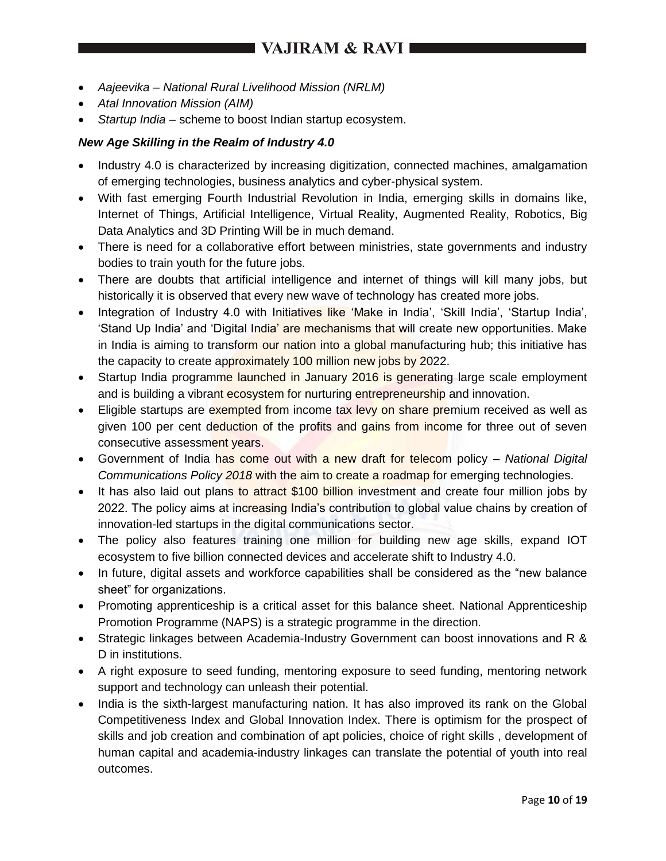# VAJIRAM & RAVI

- *Aajeevika – National Rural Livelihood Mission (NRLM)*
- *Atal Innovation Mission (AIM)*
- *Startup India –* scheme to boost Indian startup ecosystem.

#### *New Age Skilling in the Realm of Industry 4.0*

- Industry 4.0 is characterized by increasing digitization, connected machines, amalgamation of emerging technologies, business analytics and cyber-physical system.
- With fast emerging Fourth Industrial Revolution in India, emerging skills in domains like, Internet of Things, Artificial Intelligence, Virtual Reality, Augmented Reality, Robotics, Big Data Analytics and 3D Printing Will be in much demand.
- There is need for a collaborative effort between ministries, state governments and industry bodies to train youth for the future jobs.
- There are doubts that artificial intelligence and internet of things will kill many jobs, but historically it is observed that every new wave of technology has created more jobs.
- Integration of Industry 4.0 with Initiatives like 'Make in India', 'Skill India', 'Startup India', 'Stand Up India' and 'Digital India' are mechanisms that will create new opportunities. Make in India is aiming to transform our nation into a global manufacturing hub; this initiative has the capacity to create approximately 100 million new jobs by 2022.
- Startup India programme launched in January 2016 is generating large scale employment and is building a vibrant ecosystem for nurturing entrepreneurship and innovation.
- Eligible startups are exempted from income tax levy on share premium received as well as given 100 per cent deduction of the profits and gains from income for three out of seven consecutive assessment years.
- Government of India has come out with a new draft for telecom policy *National Digital Communications Policy 2018* with the aim to create a roadmap for emerging technologies.
- It has also laid out plans to attract \$100 billion investment and create four million jobs by 2022. The policy aims at increasing India's contribution to global value chains by creation of innovation-led startups in the digital communications sector.
- The policy also features training one million for building new age skills, expand IOT ecosystem to five billion connected devices and accelerate shift to Industry 4.0.
- In future, digital assets and workforce capabilities shall be considered as the "new balance" sheet" for organizations.
- Promoting apprenticeship is a critical asset for this balance sheet. National Apprenticeship Promotion Programme (NAPS) is a strategic programme in the direction.
- Strategic linkages between Academia-Industry Government can boost innovations and R & D in institutions.
- A right exposure to seed funding, mentoring exposure to seed funding, mentoring network support and technology can unleash their potential.
- India is the sixth-largest manufacturing nation. It has also improved its rank on the Global Competitiveness Index and Global Innovation Index. There is optimism for the prospect of skills and job creation and combination of apt policies, choice of right skills , development of human capital and academia-industry linkages can translate the potential of youth into real outcomes.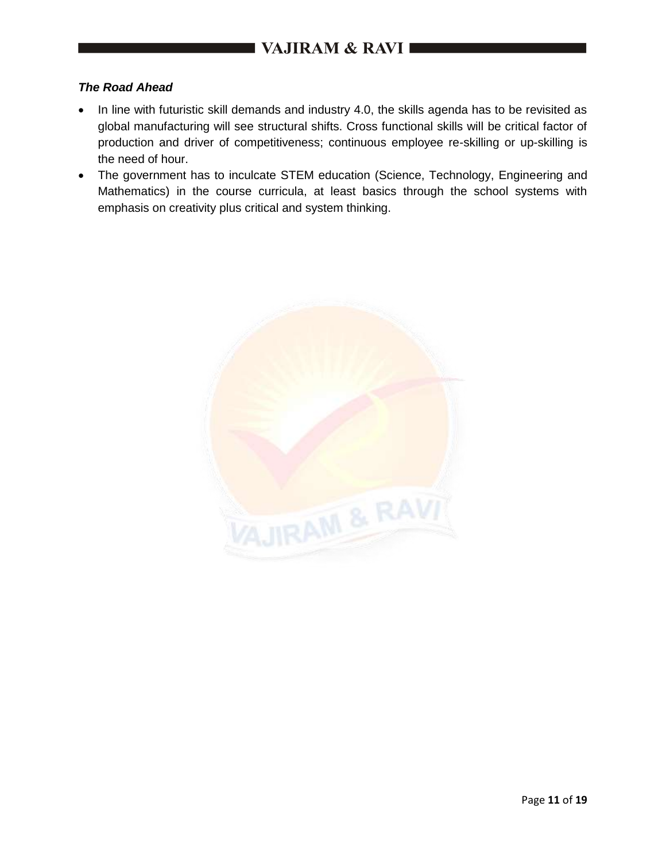#### *The Road Ahead*

- In line with futuristic skill demands and industry 4.0, the skills agenda has to be revisited as global manufacturing will see structural shifts. Cross functional skills will be critical factor of production and driver of competitiveness; continuous employee re-skilling or up-skilling is the need of hour.
- The government has to inculcate STEM education (Science, Technology, Engineering and Mathematics) in the course curricula, at least basics through the school systems with emphasis on creativity plus critical and system thinking.

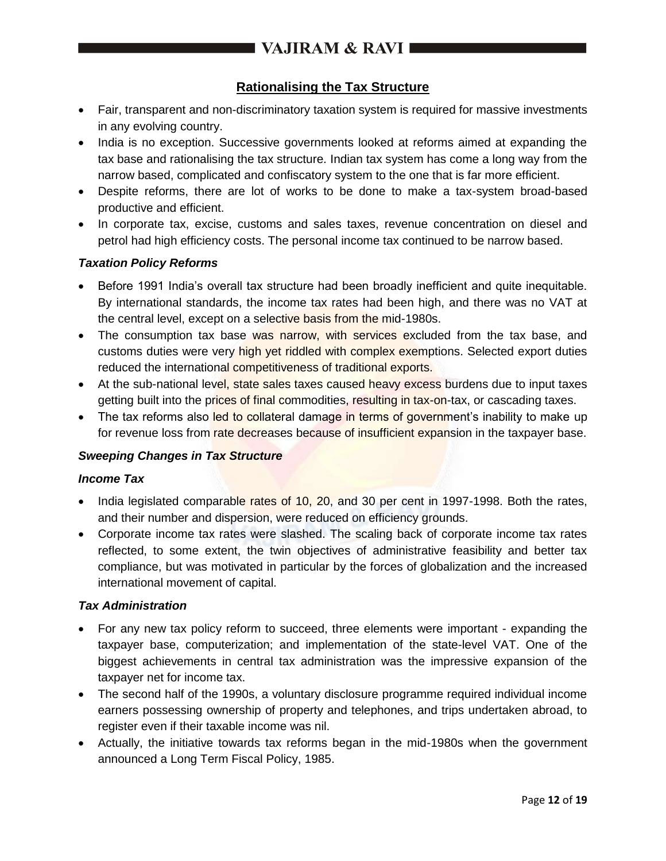## **Rationalising the Tax Structure**

- Fair, transparent and non-discriminatory taxation system is required for massive investments in any evolving country.
- India is no exception. Successive governments looked at reforms aimed at expanding the tax base and rationalising the tax structure. Indian tax system has come a long way from the narrow based, complicated and confiscatory system to the one that is far more efficient.
- Despite reforms, there are lot of works to be done to make a tax-system broad-based productive and efficient.
- In corporate tax, excise, customs and sales taxes, revenue concentration on diesel and petrol had high efficiency costs. The personal income tax continued to be narrow based.

### *Taxation Policy Reforms*

- Before 1991 India's overall tax structure had been broadly inefficient and quite inequitable. By international standards, the income tax rates had been high, and there was no VAT at the central level, except on a selective basis from the mid-1980s.
- The consumption tax base was narrow, with services excluded from the tax base, and customs duties were very high yet riddled with complex exemptions. Selected export duties reduced the international competitiveness of traditional exports.
- At the sub-national level, state sales taxes caused heavy excess burdens due to input taxes getting built into the prices of final commodities, resulting in tax-on-tax, or cascading taxes.
- The tax reforms also led to collateral damage in terms of government's inability to make up for revenue loss from rate decreases because of insufficient expansion in the taxpayer base.

### *Sweeping Changes in Tax Structure*

#### *Income Tax*

- India legislated comparable rates of 10, 20, and 30 per cent in 1997-1998. Both the rates, and their number and dispersion, were reduced on efficiency grounds.
- Corporate income tax rates were slashed. The scaling back of corporate income tax rates reflected, to some extent, the twin objectives of administrative feasibility and better tax compliance, but was motivated in particular by the forces of globalization and the increased international movement of capital.

#### *Tax Administration*

- For any new tax policy reform to succeed, three elements were important expanding the taxpayer base, computerization; and implementation of the state-level VAT. One of the biggest achievements in central tax administration was the impressive expansion of the taxpayer net for income tax.
- The second half of the 1990s, a voluntary disclosure programme required individual income earners possessing ownership of property and telephones, and trips undertaken abroad, to register even if their taxable income was nil.
- Actually, the initiative towards tax reforms began in the mid-1980s when the government announced a Long Term Fiscal Policy, 1985.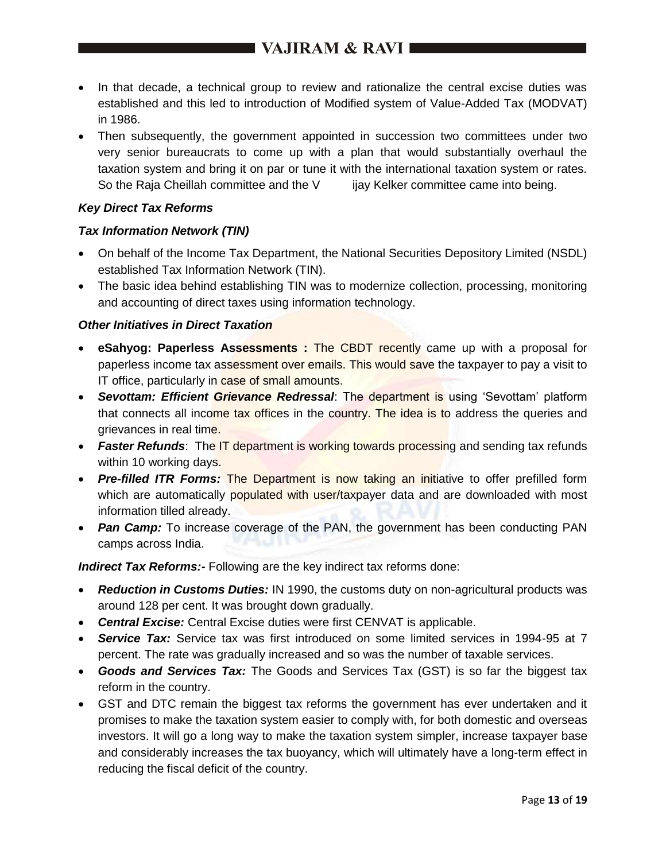- In that decade, a technical group to review and rationalize the central excise duties was established and this led to introduction of Modified system of Value-Added Tax (MODVAT) in 1986.
- Then subsequently, the government appointed in succession two committees under two very senior bureaucrats to come up with a plan that would substantially overhaul the taxation system and bring it on par or tune it with the international taxation system or rates. So the Raja Cheillah committee and the V ijay Kelker committee came into being.

#### *Key Direct Tax Reforms*

#### *Tax Information Network (TIN)*

- On behalf of the Income Tax Department, the National Securities Depository Limited (NSDL) established Tax Information Network (TIN).
- The basic idea behind establishing TIN was to modernize collection, processing, monitoring and accounting of direct taxes using information technology.

#### *Other Initiatives in Direct Taxation*

- **eSahyog: Paperless Assessments :** The CBDT recently came up with a proposal for paperless income tax assessment over emails. This would save the taxpayer to pay a visit to IT office, particularly in case of small amounts.
- *Sevottam: Efficient Grievance Redressal*: The department is using 'Sevottam' platform that connects all income tax offices in the country. The idea is to address the queries and grievances in real time.
- *Faster Refunds*: The IT department is working towards processing and sending tax refunds within 10 working days.
- *Pre-filled ITR Forms:* The Department is now taking an initiative to offer prefilled form which are automatically populated with user/taxpayer data and are downloaded with most information tilled already.
- *Pan Camp:* To increase coverage of the PAN, the government has been conducting PAN camps across India.

*Indirect Tax Reforms:-* Following are the key indirect tax reforms done:

- *Reduction in Customs Duties:* IN 1990, the customs duty on non-agricultural products was around 128 per cent. It was brought down gradually.
- *Central Excise:* Central Excise duties were first CENVAT is applicable.
- *Service Tax:* Service tax was first introduced on some limited services in 1994-95 at 7 percent. The rate was gradually increased and so was the number of taxable services.
- *Goods and Services Tax:* The Goods and Services Tax (GST) is so far the biggest tax reform in the country.
- GST and DTC remain the biggest tax reforms the government has ever undertaken and it promises to make the taxation system easier to comply with, for both domestic and overseas investors. It will go a long way to make the taxation system simpler, increase taxpayer base and considerably increases the tax buoyancy, which will ultimately have a long-term effect in reducing the fiscal deficit of the country.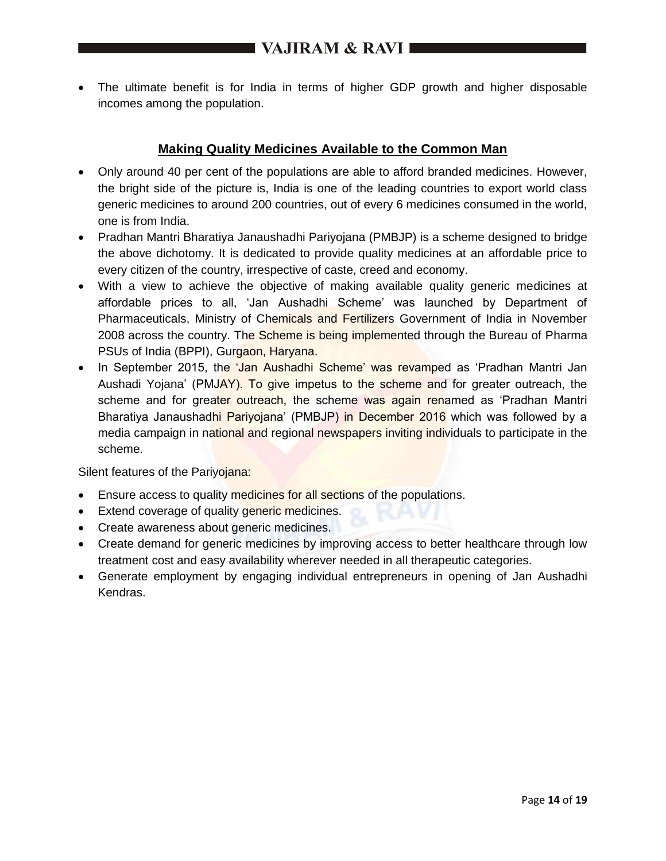The ultimate benefit is for India in terms of higher GDP growth and higher disposable incomes among the population.

## **Making Quality Medicines Available to the Common Man**

- Only around 40 per cent of the populations are able to afford branded medicines. However, the bright side of the picture is, India is one of the leading countries to export world class generic medicines to around 200 countries, out of every 6 medicines consumed in the world, one is from India.
- Pradhan Mantri Bharatiya Janaushadhi Pariyojana (PMBJP) is a scheme designed to bridge the above dichotomy. It is dedicated to provide quality medicines at an affordable price to every citizen of the country, irrespective of caste, creed and economy.
- With a view to achieve the objective of making available quality generic medicines at affordable prices to all, 'Jan Aushadhi Scheme' was launched by Department of Pharmaceuticals, Ministry of Chemicals and Fertilizers Government of India in November 2008 across the country. The Scheme is being implemented through the Bureau of Pharma PSUs of India (BPPI), Gurgaon, Haryana.
- In September 2015, the 'Jan Aushadhi Scheme' was revamped as 'Pradhan Mantri Jan Aushadi Yojana' (PMJAY). To give impetus to the scheme and for greater outreach, the scheme and for greater outreach, the scheme was again renamed as 'Pradhan Mantri Bharatiya Janaushadhi Pariyojana' (PMBJP) in December 2016 which was followed by a media campaign in national and regional newspapers inviting individuals to participate in the scheme.

Silent features of the Pariyojana:

- **Ensure access to quality medicines for all sections of the populations.**
- **Extend coverage of quality generic medicines.**
- Create awareness about generic medicines.
- Create demand for generic medicines by improving access to better healthcare through low treatment cost and easy availability wherever needed in all therapeutic categories.
- Generate employment by engaging individual entrepreneurs in opening of Jan Aushadhi Kendras.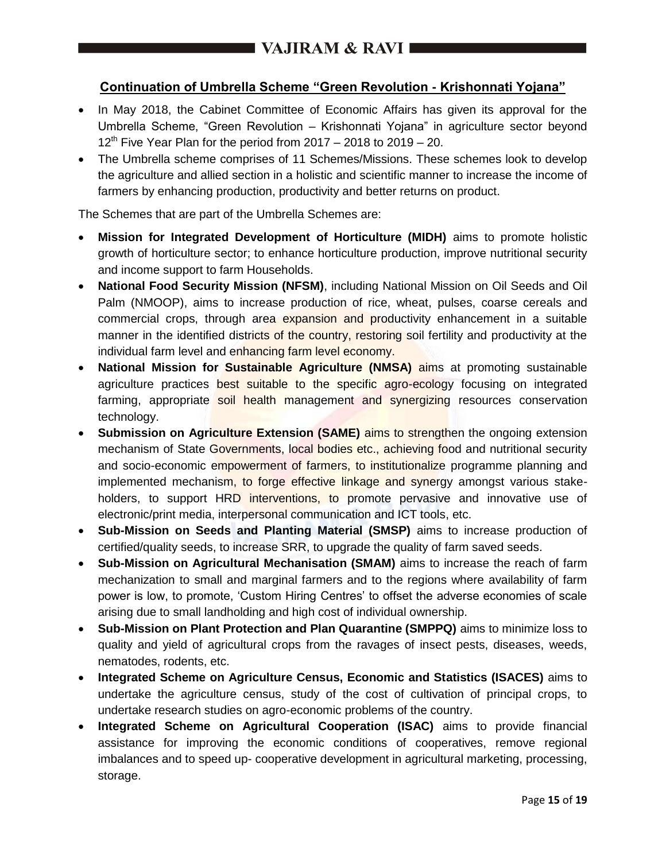## **Continuation of Umbrella Scheme "Green Revolution - Krishonnati Yojana"**

- In May 2018, the Cabinet Committee of Economic Affairs has given its approval for the Umbrella Scheme, "Green Revolution – Krishonnati Yojana" in agriculture sector beyond  $12<sup>th</sup>$  Five Year Plan for the period from 2017 – 2018 to 2019 – 20.
- The Umbrella scheme comprises of 11 Schemes/Missions. These schemes look to develop the agriculture and allied section in a holistic and scientific manner to increase the income of farmers by enhancing production, productivity and better returns on product.

The Schemes that are part of the Umbrella Schemes are:

- **Mission for Integrated Development of Horticulture (MIDH)** aims to promote holistic growth of horticulture sector; to enhance horticulture production, improve nutritional security and income support to farm Households.
- **National Food Security Mission (NFSM)**, including National Mission on Oil Seeds and Oil Palm (NMOOP), aims to increase production of rice, wheat, pulses, coarse cereals and commercial crops, through area expansion and productivity enhancement in a suitable manner in the identified districts of the country, restoring soil fertility and productivity at the individual farm level and enhancing farm level economy.
- **National Mission for Sustainable Agriculture (NMSA)** aims at promoting sustainable agriculture practices best suitable to the specific agro-ecology focusing on integrated farming, appropriate soil health management and synergizing resources conservation technology.
- **Submission on Agriculture Extension (SAME)** aims to strengthen the ongoing extension mechanism of State Governments, local bodies etc., achieving food and nutritional security and socio-economic empowerment of farmers, to institutionalize programme planning and implemented mechanism, to forge effective linkage and synergy amongst various stakeholders, to support HRD interventions, to promote pervasive and innovative use of electronic/print media, interpersonal communication and ICT tools, etc.
- **Sub-Mission on Seeds and Planting Material (SMSP)** aims to increase production of certified/quality seeds, to increase SRR, to upgrade the quality of farm saved seeds.
- **Sub-Mission on Agricultural Mechanisation (SMAM)** aims to increase the reach of farm mechanization to small and marginal farmers and to the regions where availability of farm power is low, to promote, 'Custom Hiring Centres' to offset the adverse economies of scale arising due to small landholding and high cost of individual ownership.
- **Sub-Mission on Plant Protection and Plan Quarantine (SMPPQ)** aims to minimize loss to quality and yield of agricultural crops from the ravages of insect pests, diseases, weeds, nematodes, rodents, etc.
- **Integrated Scheme on Agriculture Census, Economic and Statistics (ISACES)** aims to undertake the agriculture census, study of the cost of cultivation of principal crops, to undertake research studies on agro-economic problems of the country.
- **Integrated Scheme on Agricultural Cooperation (ISAC)** aims to provide financial assistance for improving the economic conditions of cooperatives, remove regional imbalances and to speed up- cooperative development in agricultural marketing, processing, storage.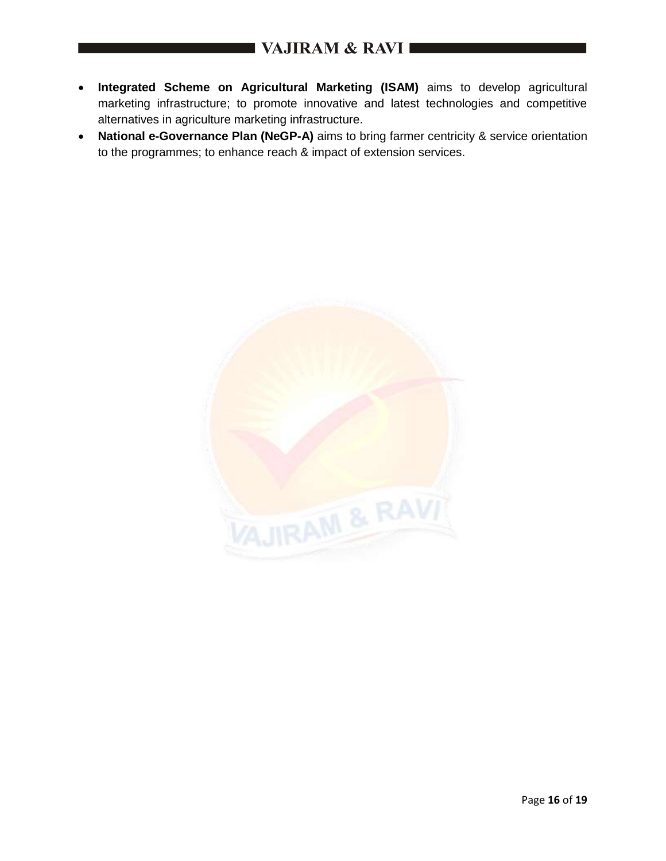- **Integrated Scheme on Agricultural Marketing (ISAM)** aims to develop agricultural marketing infrastructure; to promote innovative and latest technologies and competitive alternatives in agriculture marketing infrastructure.
- **National e-Governance Plan (NeGP-A)** aims to bring farmer centricity & service orientation to the programmes; to enhance reach & impact of extension services.

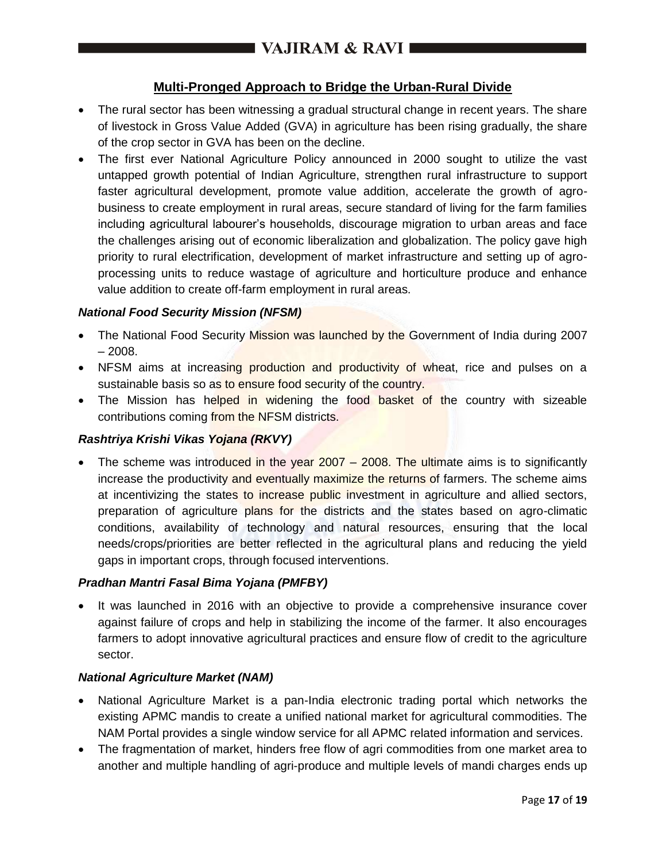## **Multi-Pronged Approach to Bridge the Urban-Rural Divide**

- The rural sector has been witnessing a gradual structural change in recent years. The share of livestock in Gross Value Added (GVA) in agriculture has been rising gradually, the share of the crop sector in GVA has been on the decline.
- The first ever National Agriculture Policy announced in 2000 sought to utilize the vast untapped growth potential of Indian Agriculture, strengthen rural infrastructure to support faster agricultural development, promote value addition, accelerate the growth of agrobusiness to create employment in rural areas, secure standard of living for the farm families including agricultural labourer's households, discourage migration to urban areas and face the challenges arising out of economic liberalization and globalization. The policy gave high priority to rural electrification, development of market infrastructure and setting up of agroprocessing units to reduce wastage of agriculture and horticulture produce and enhance value addition to create off-farm employment in rural areas.

### *National Food Security Mission (NFSM)*

- The National Food Security Mission was launched by the Government of India during 2007  $-2008.$
- NFSM aims at increasing production and productivity of wheat, rice and pulses on a sustainable basis so as to ensure food security of the country.
- The Mission has helped in widening the food basket of the country with sizeable contributions coming from the NFSM districts.

### *Rashtriya Krishi Vikas Yojana (RKVY)*

• The scheme was introduced in the year  $2007 - 2008$ . The ultimate aims is to significantly increase the productivity and eventually maximize the returns of farmers. The scheme aims at incentivizing the states to increase public investment in agriculture and allied sectors, preparation of agriculture plans for the districts and the states based on agro-climatic conditions, availability of technology and natural resources, ensuring that the local needs/crops/priorities are better reflected in the agricultural plans and reducing the yield gaps in important crops, through focused interventions.

### *Pradhan Mantri Fasal Bima Yojana (PMFBY)*

 It was launched in 2016 with an objective to provide a comprehensive insurance cover against failure of crops and help in stabilizing the income of the farmer. It also encourages farmers to adopt innovative agricultural practices and ensure flow of credit to the agriculture sector.

### *National Agriculture Market (NAM)*

- National Agriculture Market is a pan-India electronic trading portal which networks the existing APMC mandis to create a unified national market for agricultural commodities. The NAM Portal provides a single window service for all APMC related information and services.
- The fragmentation of market, hinders free flow of agri commodities from one market area to another and multiple handling of agri-produce and multiple levels of mandi charges ends up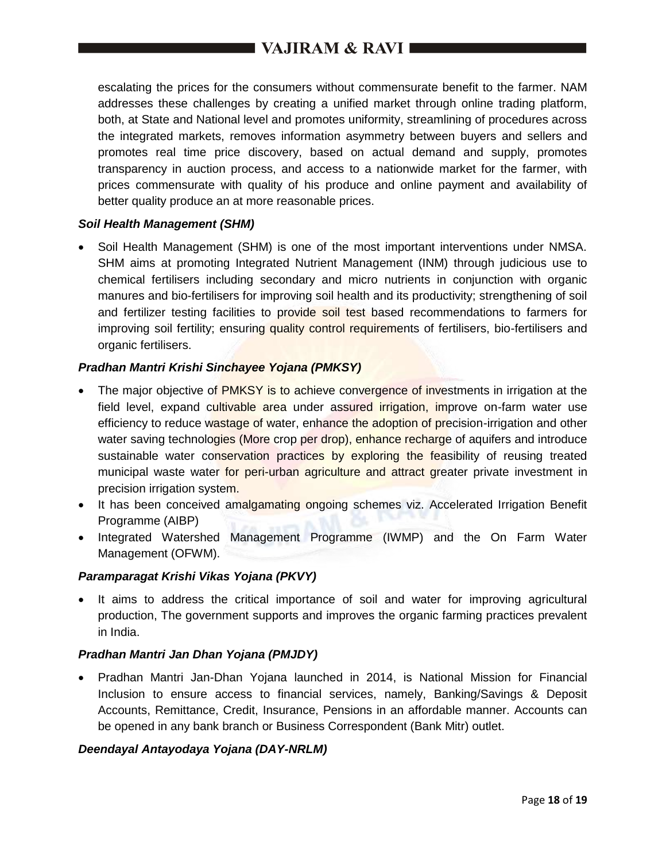# VAJIRAM & RAVI

escalating the prices for the consumers without commensurate benefit to the farmer. NAM addresses these challenges by creating a unified market through online trading platform, both, at State and National level and promotes uniformity, streamlining of procedures across the integrated markets, removes information asymmetry between buyers and sellers and promotes real time price discovery, based on actual demand and supply, promotes transparency in auction process, and access to a nationwide market for the farmer, with prices commensurate with quality of his produce and online payment and availability of better quality produce an at more reasonable prices.

#### *Soil Health Management (SHM)*

 Soil Health Management (SHM) is one of the most important interventions under NMSA. SHM aims at promoting Integrated Nutrient Management (INM) through judicious use to chemical fertilisers including secondary and micro nutrients in conjunction with organic manures and bio-fertilisers for improving soil health and its productivity; strengthening of soil and fertilizer testing facilities to provide soil test based recommendations to farmers for improving soil fertility; ensuring quality control requirements of fertilisers, bio-fertilisers and organic fertilisers.

#### *Pradhan Mantri Krishi Sinchayee Yojana (PMKSY)*

- The major objective of PMKSY is to achieve convergence of investments in irrigation at the field level, expand cultivable area under assured *irrigation*, improve on-farm water use efficiency to reduce wastage of water, enhance the adoption of precision-irrigation and other water saving technologies (More crop per drop), enhance recharge of aquifers and introduce sustainable water conservation practices by exploring the feasibility of reusing treated municipal waste water for peri-urban agriculture and attract greater private investment in precision irrigation system.
- It has been conceived amalgamating ongoing schemes viz. Accelerated Irrigation Benefit Programme (AIBP)
- Integrated Watershed Management Programme (IWMP) and the On Farm Water Management (OFWM).

#### *Paramparagat Krishi Vikas Yojana (PKVY)*

• It aims to address the critical importance of soil and water for improving agricultural production, The government supports and improves the organic farming practices prevalent in India.

#### *Pradhan Mantri Jan Dhan Yojana (PMJDY)*

 Pradhan Mantri Jan-Dhan Yojana launched in 2014, is National Mission for Financial Inclusion to ensure access to financial services, namely, Banking/Savings & Deposit Accounts, Remittance, Credit, Insurance, Pensions in an affordable manner. Accounts can be opened in any bank branch or Business Correspondent (Bank Mitr) outlet.

### *Deendayal Antayodaya Yojana (DAY-NRLM)*